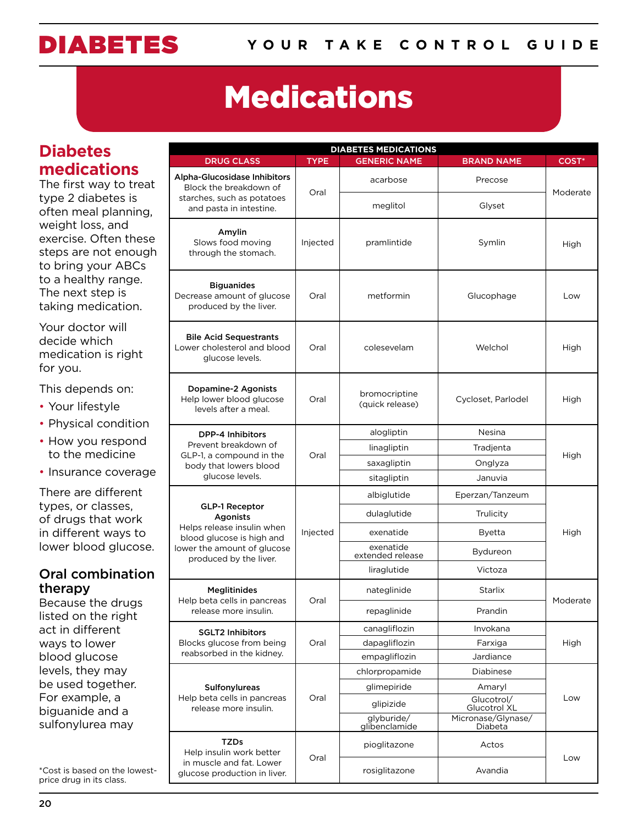# Medications

### **Diabetes medications**

The first way to treat type 2 diabetes is often meal planning, weight loss, and exercise. Often these steps are not enough to bring your ABCs to a healthy range. The next step is taking medication.

Your doctor will decide which medication is right for you.

This depends on:

- Your lifestyle
- Physical condition
- How you respond to the medicine
- Insurance coverage

There are different types, or classes, of drugs that work in different ways to lower blood glucose.

### Oral combination therapy

Because the drugs listed on the right act in different ways to lower blood glucose levels, they may be used together. For example, a biguanide and a sulfonylurea may

\*Cost is based on the lowestprice drug in its class.

| <b>DIABETES MEDICATIONS</b>                                                                                                                                  |             |                                  |                               |                   |  |
|--------------------------------------------------------------------------------------------------------------------------------------------------------------|-------------|----------------------------------|-------------------------------|-------------------|--|
| <b>DRUG CLASS</b>                                                                                                                                            | <b>TYPE</b> | <b>GENERIC NAME</b>              | <b>BRAND NAME</b>             | COST <sup>*</sup> |  |
| Alpha-Glucosidase Inhibitors<br>Block the breakdown of                                                                                                       | Oral        | acarbose                         | Precose                       | Moderate          |  |
| starches, such as potatoes<br>and pasta in intestine.                                                                                                        |             | meglitol                         | Glyset                        |                   |  |
| Amylin<br>Slows food moving<br>through the stomach.                                                                                                          | Injected    | pramlintide                      | Symlin                        | High              |  |
| <b>Biguanides</b><br>Decrease amount of glucose<br>produced by the liver.                                                                                    | Oral        | metformin                        | Glucophage                    | Low               |  |
| <b>Bile Acid Sequestrants</b><br>Lower cholesterol and blood<br>glucose levels.                                                                              | Oral        | colesevelam                      | Welchol                       | High              |  |
| Dopamine-2 Agonists<br>Help lower blood glucose<br>levels after a meal.                                                                                      | Oral        | bromocriptine<br>(quick release) | Cycloset, Parlodel            | High              |  |
| <b>DPP-4 Inhibitors</b><br>Prevent breakdown of<br>GLP-1, a compound in the<br>body that lowers blood<br>glucose levels.                                     | Oral        | alogliptin                       | Nesina                        | High              |  |
|                                                                                                                                                              |             | linagliptin                      | Tradjenta                     |                   |  |
|                                                                                                                                                              |             | saxagliptin                      | Onglyza                       |                   |  |
|                                                                                                                                                              |             | sitagliptin                      | Januvia                       |                   |  |
| <b>GLP-1 Receptor</b><br><b>Agonists</b><br>Helps release insulin when<br>blood glucose is high and<br>lower the amount of glucose<br>produced by the liver. | Injected    | albiglutide                      | Eperzan/Tanzeum               | High              |  |
|                                                                                                                                                              |             | dulaglutide                      | Trulicity                     |                   |  |
|                                                                                                                                                              |             | exenatide                        | <b>Byetta</b>                 |                   |  |
|                                                                                                                                                              |             | exenatide<br>extended release    | Bydureon                      |                   |  |
|                                                                                                                                                              |             | liraglutide                      | Victoza                       |                   |  |
| <b>Meglitinides</b>                                                                                                                                          | Oral        | nateglinide                      | Starlix                       | Moderate          |  |
| Help beta cells in pancreas<br>release more insulin.                                                                                                         |             | repaglinide                      | Prandin                       |                   |  |
| <b>SGLT2 Inhibitors</b><br>Blocks glucose from being<br>reabsorbed in the kidney.                                                                            | Oral        | canagliflozin                    | Invokana                      | High              |  |
|                                                                                                                                                              |             | dapagliflozin                    | Farxiga                       |                   |  |
|                                                                                                                                                              |             | empagliflozin                    | Jardiance                     |                   |  |
| Sulfonylureas<br>Help beta cells in pancreas<br>release more insulin.                                                                                        | Oral        | chlorpropamide                   | Diabinese                     | Low               |  |
|                                                                                                                                                              |             | glimepiride                      | Amaryl                        |                   |  |
|                                                                                                                                                              |             | glipizide                        | Glucotrol/<br>Glucotrol XL    |                   |  |
|                                                                                                                                                              |             | glyburide/<br>glibenclamide      | Micronase/Glynase/<br>Diabeta |                   |  |
| TZDs<br>Help insulin work better                                                                                                                             | Oral        | pioglitazone                     | Actos                         | Low               |  |
| in muscle and fat. Lower<br>glucose production in liver.                                                                                                     |             | rosiglitazone                    | Avandia                       |                   |  |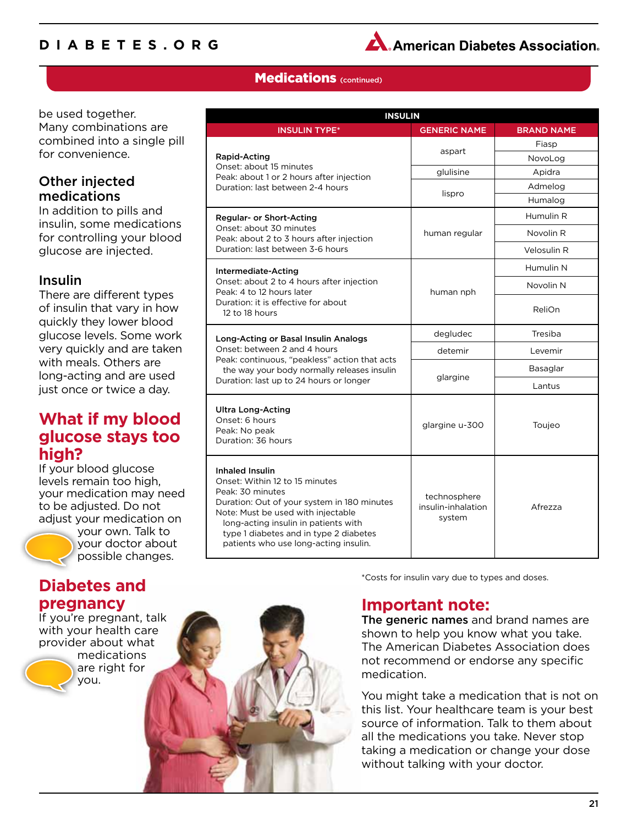### **Diabetes.org**



### **Medications** (continued)

be used together. Many combinations are combined into a single pill for convenience.

### Other injected medications

In addition to pills and insulin, some medications for controlling your blood glucose are injected.

### Insulin

There are different types of insulin that vary in how quickly they lower blood glucose levels. Some work very quickly and are taken with meals. Others are long-acting and are used just once or twice a day.

### **What if my blood glucose stays too high?**

If your blood glucose levels remain too high, your medication may need to be adjusted. Do not adjust your medication on



your own. Talk to your doctor about possible changes.

### **Diabetes and pregnancy**

If you're pregnant, talk with your health care provider about what

medications are right for you.

| <b>INSULIN</b>                                                                                                                                                                                                                                                                        |                                              |                   |  |  |  |
|---------------------------------------------------------------------------------------------------------------------------------------------------------------------------------------------------------------------------------------------------------------------------------------|----------------------------------------------|-------------------|--|--|--|
| <b>INSULIN TYPE*</b>                                                                                                                                                                                                                                                                  | <b>GENERIC NAME</b>                          | <b>BRAND NAME</b> |  |  |  |
|                                                                                                                                                                                                                                                                                       | aspart                                       | Fiasp             |  |  |  |
| Rapid-Acting<br>Onset: about 15 minutes                                                                                                                                                                                                                                               |                                              | NovoLog           |  |  |  |
| Peak: about 1 or 2 hours after injection                                                                                                                                                                                                                                              | glulisine                                    | Apidra            |  |  |  |
| Duration: last between 2-4 hours                                                                                                                                                                                                                                                      | lispro                                       | Admelog           |  |  |  |
|                                                                                                                                                                                                                                                                                       |                                              | Humalog           |  |  |  |
| Regular- or Short-Acting                                                                                                                                                                                                                                                              |                                              | Humulin R         |  |  |  |
| Onset: about 30 minutes<br>Peak: about 2 to 3 hours after injection                                                                                                                                                                                                                   | human regular                                | Novolin R         |  |  |  |
| Duration: last between 3-6 hours                                                                                                                                                                                                                                                      |                                              | Velosulin R       |  |  |  |
| Intermediate-Acting                                                                                                                                                                                                                                                                   |                                              | Humulin N         |  |  |  |
| Onset: about 2 to 4 hours after injection<br>Peak: 4 to 12 hours later                                                                                                                                                                                                                | human nph                                    | Novolin N         |  |  |  |
| Duration: it is effective for about<br>12 to 18 hours                                                                                                                                                                                                                                 |                                              | ReliOn            |  |  |  |
| Long-Acting or Basal Insulin Analogs                                                                                                                                                                                                                                                  | degludec                                     | Tresiba           |  |  |  |
| Onset: between 2 and 4 hours                                                                                                                                                                                                                                                          | detemir                                      | Levemir           |  |  |  |
| Peak: continuous, "peakless" action that acts<br>the way your body normally releases insulin                                                                                                                                                                                          | glargine                                     | Basaglar          |  |  |  |
| Duration: last up to 24 hours or longer                                                                                                                                                                                                                                               |                                              | Lantus            |  |  |  |
| <b>Ultra Long-Acting</b><br>Onset: 6 hours<br>Peak: No peak<br>Duration: 36 hours                                                                                                                                                                                                     | glargine u-300                               | Toujeo            |  |  |  |
| Inhaled Insulin<br>Onset: Within 12 to 15 minutes<br>Peak: 30 minutes<br>Duration: Out of your system in 180 minutes<br>Note: Must be used with injectable<br>long-acting insulin in patients with<br>type 1 diabetes and in type 2 diabetes<br>patients who use long-acting insulin. | technosphere<br>insulin-inhalation<br>system | Afrezza           |  |  |  |

\*Costs for insulin vary due to types and doses.

### **Important note:**

The generic names and brand names are shown to help you know what you take. The American Diabetes Association does not recommend or endorse any specific medication.

You might take a medication that is not on this list. Your healthcare team is your best source of information. Talk to them about all the medications you take. Never stop taking a medication or change your dose without talking with your doctor.